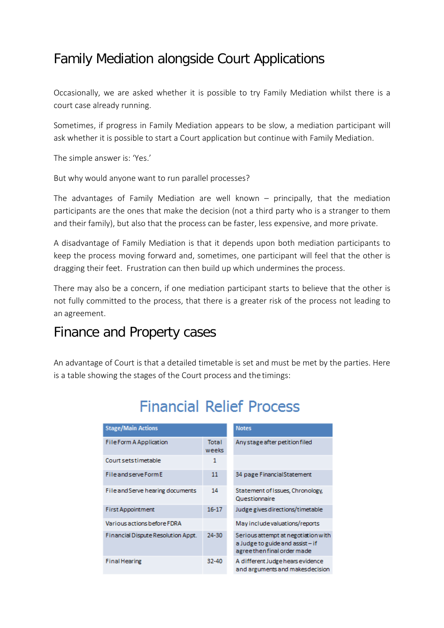### Family Mediation alongside Court Applications

Occasionally, we are asked whether it is possible to try Family Mediation whilst there is a court case already running.

Sometimes, if progress in Family Mediation appears to be slow, a mediation participant will ask whether it is possible to start a Court application but continue with Family Mediation.

The simple answer is: 'Yes.'

But why would anyone want to run parallel processes?

The advantages of Family Mediation are well known – principally, that the mediation participants are the ones that make the decision (not a third party who is a stranger to them and their family), but also that the process can be faster, less expensive, and more private.

A disadvantage of Family Mediation is that it depends upon both mediation participants to keep the process moving forward and, sometimes, one participant will feel that the other is dragging their feet. Frustration can then build up which undermines the process.

There may also be a concern, if one mediation participant starts to believe that the other is not fully committed to the process, that there is a greater risk of the process not leading to an agreement.

### Finance and Property cases

An advantage of Court is that a detailed timetable is set and must be met by the parties. Here is a table showing the stages of the Court process and the timings:

| <b>Stage/Main Actions</b>          |                       | <b>Notes</b>                                                                                          |
|------------------------------------|-----------------------|-------------------------------------------------------------------------------------------------------|
| <b>File Form A Application</b>     | <b>Total</b><br>weeks | Any stage after petition filed                                                                        |
| Court setstimetable                | 1                     |                                                                                                       |
| File and serve Form E              | 11                    | 34 page Financial Statement                                                                           |
| File and Serve hearing documents   | 14                    | Statement of Issues, Chronology,<br>Questionnaire                                                     |
| <b>First Appointment</b>           | $16 - 17$             | Judge gives directions/timetable                                                                      |
| Various actions before FDRA        |                       | May include valuations/reports                                                                        |
| Financial Dispute Resolution Appt. | 24-30                 | Serious attempt at negotiation with<br>a Judge to guide and assist - if<br>agreethen final order made |
| <b>Final Hearing</b>               | 32-40                 | A different Judge hears evidence<br>and arguments and makes decision                                  |

# **Financial Relief Process**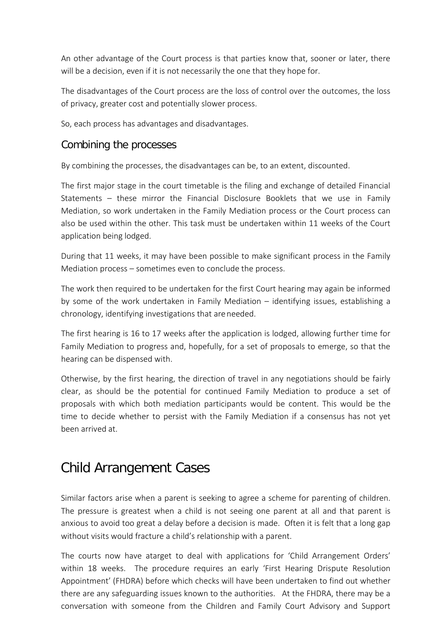An other advantage of the Court process is that parties know that, sooner or later, there will be a decision, even if it is not necessarily the one that they hope for.

The disadvantages of the Court process are the loss of control over the outcomes, the loss of privacy, greater cost and potentially slower process.

So, each process has advantages and disadvantages.

#### Combining the processes

By combining the processes, the disadvantages can be, to an extent, discounted.

The first major stage in the court timetable is the filing and exchange of detailed Financial Statements – these mirror the Financial Disclosure Booklets that we use in Family Mediation, so work undertaken in the Family Mediation process or the Court process can also be used within the other. This task must be undertaken within 11 weeks of the Court application being lodged.

During that 11 weeks, it may have been possible to make significant process in the Family Mediation process – sometimes even to conclude the process.

The work then required to be undertaken for the first Court hearing may again be informed by some of the work undertaken in Family Mediation – identifying issues, establishing a chronology, identifying investigations that areneeded.

The first hearing is 16 to 17 weeks after the application is lodged, allowing further time for Family Mediation to progress and, hopefully, for a set of proposals to emerge, so that the hearing can be dispensed with.

Otherwise, by the first hearing, the direction of travel in any negotiations should be fairly clear, as should be the potential for continued Family Mediation to produce a set of proposals with which both mediation participants would be content. This would be the time to decide whether to persist with the Family Mediation if a consensus has not yet been arrived at.

## Child Arrangement Cases

Similar factors arise when a parent is seeking to agree a scheme for parenting of children. The pressure is greatest when a child is not seeing one parent at all and that parent is anxious to avoid too great a delay before a decision is made. Often it is felt that a long gap without visits would fracture a child's relationship with a parent.

The courts now have atarget to deal with applications for 'Child Arrangement Orders' within 18 weeks. The procedure requires an early 'First Hearing Drispute Resolution Appointment' (FHDRA) before which checks will have been undertaken to find out whether there are any safeguarding issues known to the authorities. At the FHDRA, there may be a conversation with someone from the Children and Family Court Advisory and Support